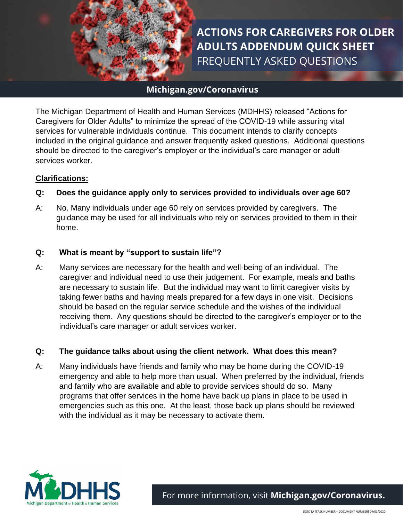

# **ACTIONS FOR CAREGIVERS FOR OLDER ADULTS ADDENDUM QUICK SHEET** FREQUENTLY ASKED QUESTIONS

# **Michigan.gov/Coronavirus**

The Michigan Department of Health and Human Services (MDHHS) released "Actions for Caregivers for Older Adults" to minimize the spread of the COVID-19 while assuring vital services for vulnerable individuals continue. This document intends to clarify concepts included in the original guidance and answer frequently asked questions. Additional questions should be directed to the caregiver's employer or the individual's care manager or adult services worker.

#### **Clarifications:**

#### **Q: Does the guidance apply only to services provided to individuals over age 60?**

A: No. Many individuals under age 60 rely on services provided by caregivers. The guidance may be used for all individuals who rely on services provided to them in their home.

#### **Q: What is meant by "support to sustain life"?**

A: Many services are necessary for the health and well-being of an individual. The caregiver and individual need to use their judgement. For example, meals and baths are necessary to sustain life. But the individual may want to limit caregiver visits by taking fewer baths and having meals prepared for a few days in one visit. Decisions should be based on the regular service schedule and the wishes of the individual receiving them. Any questions should be directed to the caregiver's employer or to the individual's care manager or adult services worker.

#### **Q: The guidance talks about using the client network. What does this mean?**

A: Many individuals have friends and family who may be home during the COVID-19 emergency and able to help more than usual. When preferred by the individual, friends and family who are available and able to provide services should do so. Many programs that offer services in the home have back up plans in place to be used in emergencies such as this one. At the least, those back up plans should be reviewed with the individual as it may be necessary to activate them.

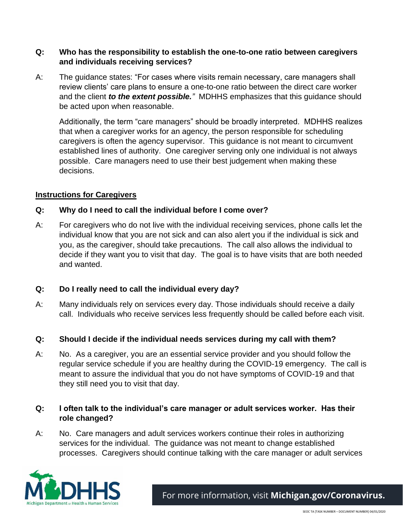## **Q: Who has the responsibility to establish the one-to-one ratio between caregivers and individuals receiving services?**

A: The guidance states: "For cases where visits remain necessary, care managers shall review clients' care plans to ensure a one-to-one ratio between the direct care worker and the client *to the extent possible."* MDHHS emphasizes that this guidance should be acted upon when reasonable.

Additionally, the term "care managers" should be broadly interpreted. MDHHS realizes that when a caregiver works for an agency, the person responsible for scheduling caregivers is often the agency supervisor. This guidance is not meant to circumvent established lines of authority. One caregiver serving only one individual is not always possible. Care managers need to use their best judgement when making these decisions.

## **Instructions for Caregivers**

## **Q: Why do I need to call the individual before I come over?**

A: For caregivers who do not live with the individual receiving services, phone calls let the individual know that you are not sick and can also alert you if the individual is sick and you, as the caregiver, should take precautions. The call also allows the individual to decide if they want you to visit that day. The goal is to have visits that are both needed and wanted.

# **Q: Do I really need to call the individual every day?**

A: Many individuals rely on services every day. Those individuals should receive a daily call. Individuals who receive services less frequently should be called before each visit.

#### **Q: Should I decide if the individual needs services during my call with them?**

A: No. As a caregiver, you are an essential service provider and you should follow the regular service schedule if you are healthy during the COVID-19 emergency. The call is meant to assure the individual that you do not have symptoms of COVID-19 and that they still need you to visit that day.

## **Q: I often talk to the individual's care manager or adult services worker. Has their role changed?**

A: No. Care managers and adult services workers continue their roles in authorizing services for the individual. The guidance was not meant to change established processes. Caregivers should continue talking with the care manager or adult services

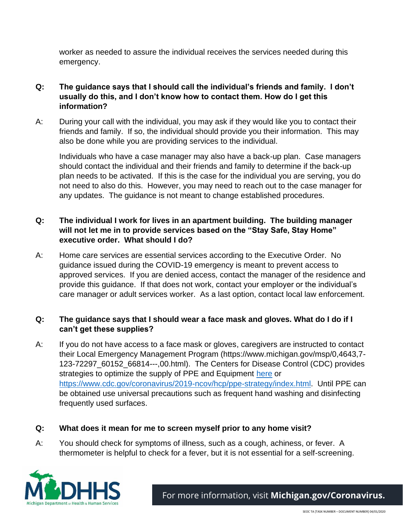worker as needed to assure the individual receives the services needed during this emergency.

- **Q: The guidance says that I should call the individual's friends and family. I don't usually do this, and I don't know how to contact them. How do I get this information?**
- A: During your call with the individual, you may ask if they would like you to contact their friends and family. If so, the individual should provide you their information. This may also be done while you are providing services to the individual.

Individuals who have a case manager may also have a back-up plan. Case managers should contact the individual and their friends and family to determine if the back-up plan needs to be activated. If this is the case for the individual you are serving, you do not need to also do this. However, you may need to reach out to the case manager for any updates. The guidance is not meant to change established procedures.

# **Q: The individual I work for lives in an apartment building. The building manager will not let me in to provide services based on the "Stay Safe, Stay Home" executive order. What should I do?**

A: Home care services are essential services according to the Executive Order. No guidance issued during the COVID-19 emergency is meant to prevent access to approved services. If you are denied access, contact the manager of the residence and provide this guidance. If that does not work, contact your employer or the individual's care manager or adult services worker. As a last option, contact local law enforcement.

# **Q: The guidance says that I should wear a face mask and gloves. What do I do if I can't get these supplies?**

A: If you do not have access to a face mask or gloves, caregivers are instructed to contact their Local Emergency Management Program (https://www.michigan.gov/msp/0,4643,7- 123-72297\_60152\_66814---,00.html). The Centers for Disease Control (CDC) provides strategies to optimize the supply of PPE and Equipment [here](https://www.cdc.gov/coronavirus/2019-ncov/hcp/ppe-strategy/index.html) or [https://www.cdc.gov/coronavirus/2019-ncov/hcp/ppe-strategy/index.html.](https://www.cdc.gov/coronavirus/2019-ncov/hcp/ppe-strategy/index.html) Until PPE can be obtained use universal precautions such as frequent hand washing and disinfecting frequently used surfaces.

# **Q: What does it mean for me to screen myself prior to any home visit?**

A: You should check for symptoms of illness, such as a cough, achiness, or fever. A thermometer is helpful to check for a fever, but it is not essential for a self-screening.